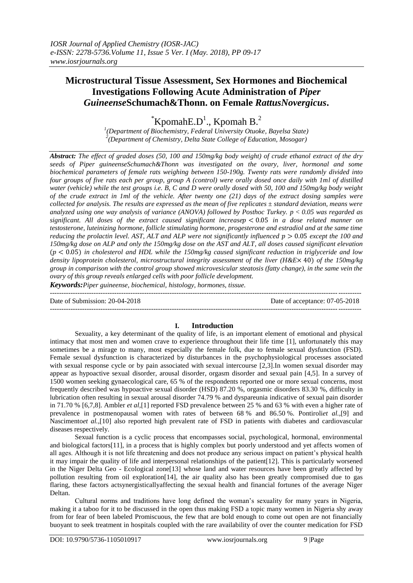# **Microstructural Tissue Assessment, Sex Hormones and Biochemical Investigations Following Acute Administration of** *Piper Guineense***Schumach&Thonn. on Female** *RattusNovergicus***.**

 $K$ pomah $E.D<sup>1</sup>$ ., Kpomah B.<sup>2</sup>

*1 (Department of Biochemistry, Federal University Otuoke, Bayelsa State) 2 (Department of Chemistry, Delta State College of Education, Mosogar)*

*Abstract: The effect of graded doses (50, 100 and 150mg/kg body weight) of crude ethanol extract of the dry seeds of Piper guineenseSchumach&Thonn was investigated on the ovary, liver, hormonal and some biochemical parameters of female rats weighing between 150-190g. Twenty rats were randomly divided into four groups of five rats each per group, group A (control) were orally dosed once daily with 1ml of distilled water (vehicle) while the test groups i.e. B, C and D were orally dosed with 50, 100 and 150mg/kg body weight of the crude extract in 1ml of the vehicle. After twenty one (21) days of the extract dosing samples were collected for analysis. The results are expressed as the mean of five replicates ± standard deviation, means were analyzed using one way analysis of variance (ANOVA) followed by Posthoc Turkey. p < 0.05 was regarded as significant. All doses of the extract caused significant increase* < 0.05 *in a dose related manner on testosterone, luteinizing hormone, follicle stimulating hormone, progesterone and estradiol and at the same time reducing the prolactin level. AST, ALT and ALP were not significantly influenced*  $p > 0.05$  *except the 100 and 150mg/kg dose on ALP and only the 150mg/kg dose on the AST and ALT, all doses caused significant elevation*   $(p < 0.05)$  in cholesterol and HDL while the 150mg/kg caused significant reduction in triglyceride and low *density lipoprotein cholesterol, microstructural integrity assessment of the liver (H&E*× 40) *of the 150mg/kg group in comparison with the control group showed microvesicular steatosis (fatty change), in the same vein the ovary of this group reveals enlarged cells with poor follicle development.* 

*Keywords:Piper guineense, biochemical, histology, hormones, tissue.*

--------------------------------------------------------------------------------------------------------------------------------------- Date of Submission: 20-04-2018 Date of acceptance: 07-05-2018 ---------------------------------------------------------------------------------------------------------------------------------------

## **I. Introduction**

Sexuality, a key determinant of the quality of life, is an important element of emotional and physical intimacy that most men and women crave to experience throughout their life time [1], unfortunately this may sometimes be a mirage to many, most especially the female folk, due to female sexual dysfunction (FSD). Female sexual dysfunction is characterized by disturbances in the psychophysiological processes associated with sexual response cycle or by pain associated with sexual intercourse [2,3]. In women sexual disorder may appear as hypoactive sexual disorder, arousal disorder, orgasm disorder and sexual pain [4,5]. In a survey of 1500 women seeking gynaecological care, 65 % of the respondents reported one or more sexual concerns, most frequently described was hypoactive sexual disorder (HSD) 87.20 %, orgasmic disorders 83.30 %, difficulty in lubrication often resulting in sexual arousal disorder 74.79 % and dyspareunia indicative of sexual pain disorder in 71.70 % [6,7,8]. Ambler *et al,*[1] reported FSD prevalence between 25 % and 63 % with even a higher rate of prevalence in postmenopausal women with rates of between 68 % and 86.50 %. Pontiroli*et al.,*[9] and Nascimento*et al.,*[10] also reported high prevalent rate of FSD in patients with diabetes and cardiovascular diseases respectively.

Sexual function is a cyclic process that encompasses social, psychological, hormonal, environmental and biological factors[11], in a process that is highly complex but poorly understood and yet affects women of all ages. Although it is not life threatening and does not produce any serious impact on patient's physical health it may impair the quality of life and interpersonal relationships of the patient[12]. This is particularly worsened in the Niger Delta Geo - Ecological zone[13] whose land and water resources have been greatly affected by pollution resulting from oil exploration[14], the air quality also has been greatly compromised due to gas flaring, these factors actsynergisticallyaffecting the sexual health and financial fortunes of the average Niger Deltan.

Cultural norms and traditions have long defined the woman's sexuality for many years in Nigeria, making it a taboo for it to be discussed in the open thus making FSD a topic many women in Nigeria shy away from for fear of been labeled Promiscuous, the few that are bold enough to come out open are not financially buoyant to seek treatment in hospitals coupled with the rare availability of over the counter medication for FSD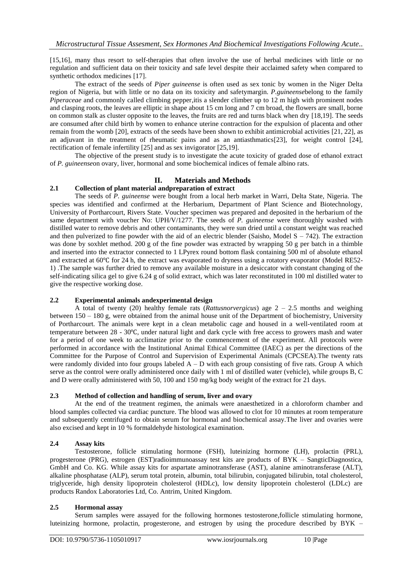[15,16], many thus resort to self-therapies that often involve the use of herbal medicines with little or no regulation and sufficient data on their toxicity and safe level despite their acclaimed safety when compared to synthetic orthodox medicines [17].

The extract of the seeds of *Piper guineense* is often used as sex tonic by women in the Niger Delta region of Nigeria, but with little or no data on its toxicity and safetymargin. *P.guineense*belong to the family *Piperaceae* and commonly called climbing pepper, it is a slender climber up to 12 m high with prominent nodes and clasping roots, the leaves are elliptic in shape about 15 cm long and 7 cm broad, the flowers are small, borne on common stalk as cluster opposite to the leaves, the fruits are red and turns black when dry [18,19]. The seeds are consumed after child birth by women to enhance uterine contraction for the expulsion of placenta and other remain from the womb [20], extracts of the seeds have been shown to exhibit antimicrobial activities [21, 22], as an adjuvant in the treatment of rheumatic pains and as an antiasthmatics[23], for weight control [24], rectification of female infertility [25] and as sex invigorator [25,19].

The objective of the present study is to investigate the acute toxicity of graded dose of ethanol extract of *P. guineense*on ovary, liver, hormonal and some biochemical indices of female albino rats.

## **II. Materials and Methods**

## **2.1 Collection of plant material andpreparation of extract**

The seeds of *P. guineense* were bought from a local herb market in Warri, Delta State, Nigeria. The species was identified and confirmed at the Herbarium, Department of Plant Science and Biotechnology, University of Portharcourt, Rivers State. Voucher specimen was prepared and deposited in the herbarium of the same department with voucher No: UPH/V/1277. The seeds of *P. guineense* were thoroughly washed with distilled water to remove debris and other contaminants, they were sun dried until a constant weight was reached and then pulverized to fine powder with the aid of an electric blender (Saisho, Model  $S - 742$ ). The extraction was done by soxhlet method. 200 g of the fine powder was extracted by wrapping 50 g per batch in a thimble and inserted into the extractor connected to 1 LPyrex round bottom flask containing 500 ml of absolute ethanol and extracted at 60℃ for 24 h, the extract was evaporated to dryness using a rotatory evaporator (Model RE52- 1) .The sample was further dried to remove any available moisture in a desiccator with constant changing of the self-indicating silica gel to give 6.24 g of solid extract, which was later reconstituted in 100 ml distilled water to give the respective working dose.

## **2.2 Experimental animals andexperimental design**

A total of twenty (20) healthy female rats (*Rattusnorvergicus*) age 2 – 2.5 months and weighing between 150 – 180 g, were obtained from the animal house unit of the Department of biochemistry, University of Portharcourt. The animals were kept in a clean metabolic cage and housed in a well-ventilated room at temperature between 28 - 30℃, under natural light and dark cycle with free access to growers mash and water for a period of one week to acclimatize prior to the commencement of the experiment. All protocols were performed in accordance with the Institutional Animal Ethical Committee (IAEC) as per the directions of the Committee for the Purpose of Control and Supervision of Experimental Animals (CPCSEA).The twenty rats were randomly divided into four groups labeled  $A - D$  with each group consisting of five rats. Group A which serve as the control were orally administered once daily with 1 ml of distilled water (vehicle), while groups B, C and D were orally administered with 50, 100 and 150 mg/kg body weight of the extract for 21 days.

#### **2.3 Method of collection and handling of serum, liver and ovary**

At the end of the treatment regimen, the animals were anaesthetized in a chloroform chamber and blood samples collected via cardiac puncture. The blood was allowed to clot for 10 minutes at room temperature and subsequently centrifuged to obtain serum for hormonal and biochemical assay.The liver and ovaries were also excised and kept in 10 % formaldehyde histological examination.

## **2.4 Assay kits**

Testosterone, follicle stimulating hormone (FSH), luteinizing hormone (LH), prolactin (PRL), progesterone (PRG), estrogen (EST)radioimmunoassay test kits are products of BYK – SangticDiagnostica, GmbH and Co. KG. While assay kits for aspartate aminotransferase (AST), alanine aminotransferase (ALT), alkaline phosphatase (ALP), serum total protein, albumin, total bilirubin, conjugated bilirubin, total cholesterol, triglyceride, high density lipoprotein cholesterol (HDLc), low density lipoprotein cholesterol (LDLc) are products Randox Laboratories Ltd, Co. Antrim, United Kingdom.

## **2.5 Hormonal assay**

Serum samples were assayed for the following hormones testosterone,follicle stimulating hormone, luteinizing hormone, prolactin, progesterone, and estrogen by using the procedure described by BYK –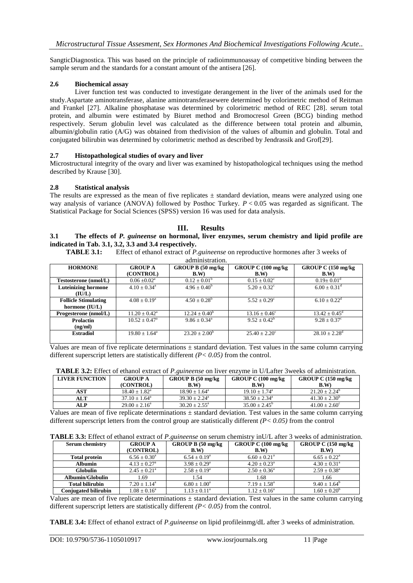SangticDiagnostica. This was based on the principle of radioimmunoassay of competitive binding between the sample serum and the standards for a constant amount of the antisera [26].

## **2.6 Biochemical assay**

Liver function test was conducted to investigate derangement in the liver of the animals used for the study.Aspartate aminotransferase, alanine aminotransferasewere determined by colorimetric method of Reitman and Frankel [27]. Alkaline phosphatase was determined by colorimetric method of REC [28]. serum total protein, and albumin were estimated by Biuret method and Bromocresol Green (BCG) binding method respectively. Serum globulin level was calculated as the difference between total protein and albumin, albumin/globulin ratio (A/G) was obtained from thedivision of the values of albumin and globulin. Total and conjugated bilirubin was determined by colorimetric method as described by Jendrassik and Grof[29].

#### **2.7 Histopathological studies of ovary and liver**

Microstructural integrity of the ovary and liver was examined by histopathological techniques using the method described by Krause [30].

#### **2.8 Statistical analysis**

The results are expressed as the mean of five replicates  $\pm$  standard deviation, means were analyzed using one way analysis of variance (ANOVA) followed by Posthoc Turkey. *P* < 0.05 was regarded as significant. The Statistical Package for Social Sciences (SPSS) version 16 was used for data analysis.

## **III. Results**

#### **3.1 The effects of** *P. guineense* **on hormonal, liver enzymes, serum chemistry and lipid profile are indicated in Tab. 3.1, 3.2, 3.3 and 3.4 respectively.**

**TABLE 3.1:** Effect of ethanol extract of *P.guineense* on reproductive hormones after 3 weeks of administration.

| aunninsu auvii.             |                             |                         |                          |                               |  |  |  |
|-----------------------------|-----------------------------|-------------------------|--------------------------|-------------------------------|--|--|--|
| <b>HORMONE</b>              | <b>GROUP A</b>              | GROUP B (50 mg/kg)      | GROUP C (100 mg/kg)      | GROUP C (150 mg/kg)           |  |  |  |
|                             | (CONTROL)                   | B.W                     | B.W                      | B.W                           |  |  |  |
| Testosterone (nmol/L)       | $0.06 \pm 0.02^{\text{a}}$  | $0.12 \pm 0.01^{\rm b}$ | $0.15 \pm 0.02^{\circ}$  | $0.19 \pm 0.01$ <sup>d</sup>  |  |  |  |
| <b>Luteinizing hormone</b>  | $4.10 \pm 0.34^{\circ}$     | $4.96 \pm 0.40^b$       | $5.20 \pm 0.32^{\circ}$  | $6.00 \pm 0.31$ <sup>d</sup>  |  |  |  |
| (IU/L)                      |                             |                         |                          |                               |  |  |  |
| <b>Follicle Stimulating</b> | $4.08 \pm 0.19^a$           | $4.50 \pm 0.28^{\rm b}$ | $5.52 \pm 0.29^{\circ}$  | $6.10 \pm 0.22^{\rm d}$       |  |  |  |
| hormone (IU/L)              |                             |                         |                          |                               |  |  |  |
| Progesterone (nmol/L)       | $11.20 \pm 0.42^{\text{a}}$ | $12.24 \pm 0.40^b$      | $13.16 \pm 0.46^{\circ}$ | $13.42 \pm 0.45^{\circ}$      |  |  |  |
| <b>Prolactin</b>            | $10.52 \pm 0.47^{\circ}$    | $9.86 \pm 0.34^{\circ}$ | $9.52 \pm 0.42^b$        | $9.28 \pm 0.37^{\circ}$       |  |  |  |
| (ng/ml)                     |                             |                         |                          |                               |  |  |  |
| <b>Estradiol</b>            | $19.80 \pm 1.64^{\circ}$    | $23.20 \pm 2.00^b$      | $25.40 + 2.20^{\circ}$   | $28.10 \pm 2.28$ <sup>d</sup> |  |  |  |
|                             |                             |                         |                          |                               |  |  |  |

Values are mean of five replicate determinations  $\pm$  standard deviation. Test values in the same column carrying different superscript letters are statistically different *(P< 0.05)* from the control.

| <b>TABLE 3.2:</b> Effect of ethanol extract of <i>P. guineense</i> on liver enzyme in O/Lafter 3 weeks of administration. |                           |                              |                               |                               |  |
|---------------------------------------------------------------------------------------------------------------------------|---------------------------|------------------------------|-------------------------------|-------------------------------|--|
| <b>LIVER FUNCTION</b>                                                                                                     | <b>GROUP A</b>            | GROUP B $(50 \text{ mg/kg})$ | GROUP C $(100 \text{ mg/kg})$ | GROUP C $(150 \text{ mg/kg})$ |  |
|                                                                                                                           | (CONTROL)                 | B.W                          | B.W                           | B.W)                          |  |
| AST                                                                                                                       | $18.40 + 1.82^{\text{a}}$ | $18.90 + 1.64^{\circ}$       | $19.10 + 1.74$ <sup>a</sup>   | $21.20 + 2.24^b$              |  |
| <b>ALT</b>                                                                                                                | $37.10 \pm 1.64^{\circ}$  | $39.30 + 2.24^{\circ}$       | $38.50 + 2.34^{\circ}$        | $41.30 + 2.30^b$              |  |
| ALP                                                                                                                       | $29.00 + 2.16^a$          | $30.20 + 2.55^{\circ}$       | $35.00 + 2.45^{\circ}$        | $41.00 + 2.60^{\circ}$        |  |

**TABLE 3.2:** Effect of ethanol extract of *P.guineense* on liver enzyme in U/Lafter 3weeks of administration.

Values are mean of five replicate determinations  $\pm$  standard deviation. Test values in the same column carrying different superscript letters from the control group are statistically different *(P< 0.05)* from the control

| <b>Serum chemistry</b>      | <b>GROUP A</b>          | GROUP B (50 mg/kg)      | GROUP C (100 mg/kg)     | GROUP C $(150 \text{ mg/kg})$ |  |
|-----------------------------|-------------------------|-------------------------|-------------------------|-------------------------------|--|
|                             | (CONTROL)               | B.W                     | B.W                     | <b>B.W</b> )                  |  |
| <b>Total protein</b>        | $6.56 \pm 0.30^{\circ}$ | $6.54 \pm 0.19^{\circ}$ | $6.60 \pm 0.21^{\circ}$ | $6.65 \pm 0.22^{\text{a}}$    |  |
| <b>Albumin</b>              | $4.13 + 0.27^a$         | $3.98 + 0.29^a$         | $4.20 + 0.23^{\circ}$   | $4.30 \pm 0.31^{\circ}$       |  |
| <b>Globulin</b>             | $2.45 \pm 0.21^{\circ}$ | $2.58 \pm 0.19^a$       | $2.50 \pm 0.36^{\circ}$ | $2.59 + 0.38^a$               |  |
| Albumin/Globulin            | 1.69                    | 1.54                    | 1.68                    | 1.66                          |  |
| <b>Total bilirubin</b>      | $7.20 + 1.14^a$         | $6.80 + 1.00^a$         | $7.19 \pm 1.58^{\circ}$ | $9.40 \pm 1.64^b$             |  |
| <b>Conjugated bilirubin</b> | $1.08 \pm 0.16^a$       | $1.13 \pm 0.11^a$       | $1.12 \pm 0.16^a$       | $1.60 \pm 0.20^{\rm b}$       |  |

Values are mean of five replicate determinations  $\pm$  standard deviation. Test values in the same column carrying different superscript letters are statistically different *(P< 0.05)* from the control.

**TABLE 3.4:** Effect of ethanol extract of *P.guineense* on lipid profileinmg/dL after 3 weeks of administration.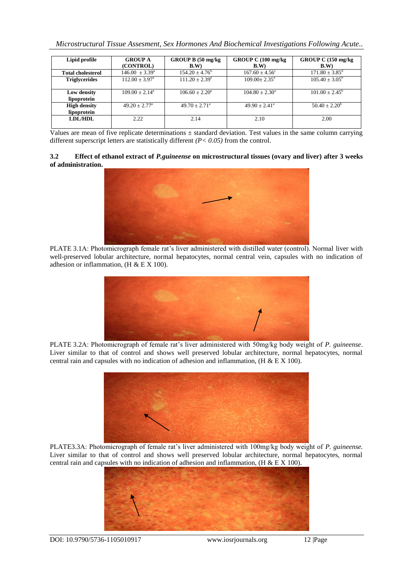| Microstructural Tissue Assesment, Sex Hormones And Biochemical Investigations Following Acute |  |  |  |  |  |
|-----------------------------------------------------------------------------------------------|--|--|--|--|--|
|                                                                                               |  |  |  |  |  |

| Lipid profile            | <b>GROUP A</b>            | GROUP B (50 mg/kg)        | GROUP C (100 mg/kg)     | GROUP C (150 mg/kg)            |
|--------------------------|---------------------------|---------------------------|-------------------------|--------------------------------|
|                          | (CONTROL)                 | B.W                       | B.W                     | B.W                            |
| <b>Total cholesterol</b> | $146.00 \pm 3.39^{\circ}$ | $154.20 \pm 4.76^{\rm b}$ | $167.60 + 4.56^{\circ}$ | $171.80 \pm 3.85$ <sup>d</sup> |
| <b>Triglycerides</b>     | $112.00 \pm 3.97^{\circ}$ | $111.20 \pm 2.39^{\circ}$ | $109.00 + 2.35^{\circ}$ | $105.40 \pm 3.05^{\circ}$      |
|                          |                           |                           |                         |                                |
| Low density              | $109.00 + 2.14^a$         | $106.60 + 2.20a$          | $104.80 + 2.30^a$       | $101.00 + 2.45^{\circ}$        |
| lipoprotein              |                           |                           |                         |                                |
| <b>High density</b>      | $49.20 + 2.77^{\circ}$    | $49.70 + 2.71^{\circ}$    | $49.90 + 2.41^a$        | $50.40 + 2.20^b$               |
| lipoprotein              |                           |                           |                         |                                |
| <b>LDL/HDL</b>           | 2.22                      | 2.14                      | 2.10                    | 2.00                           |
|                          |                           |                           |                         |                                |

Values are mean of five replicate determinations  $\pm$  standard deviation. Test values in the same column carrying different superscript letters are statistically different *(P< 0.05)* from the control.

**3.2 Effect of ethanol extract of** *P.guineense* **on microstructural tissues (ovary and liver) after 3 weeks of administration.** 



PLATE 3.1A: Photomicrograph female rat's liver administered with distilled water (control). Normal liver with well-preserved lobular architecture, normal hepatocytes, normal central vein, capsules with no indication of adhesion or inflammation, (H & E X 100).



PLATE 3.2A: Photomicrograph of female rat's liver administered with 50mg/kg body weight of *P. guineense*. Liver similar to that of control and shows well preserved lobular architecture, normal hepatocytes, normal central rain and capsules with no indication of adhesion and inflammation, (H & E X 100).



PLATE3.3A: Photomicrograph of female rat's liver administered with 100mg/kg body weight of *P. guineense.* Liver similar to that of control and shows well preserved lobular architecture, normal hepatocytes, normal central rain and capsules with no indication of adhesion and inflammation, (H & E X 100).



DOI: 10.9790/5736-1105010917 www.iosrjournals.org 12 |Page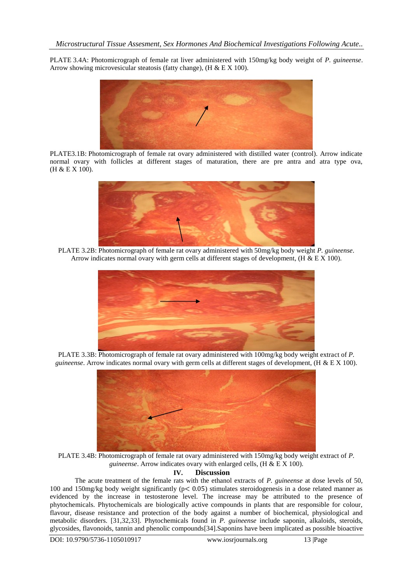PLATE 3.4A: Photomicrograph of female rat liver administered with 150mg/kg body weight of *P. guineense*. Arrow showing microvesicular steatosis (fatty change), (H & E X 100).



PLATE3.1B: Photomicrograph of female rat ovary administered with distilled water (control). Arrow indicate normal ovary with follicles at different stages of maturation, there are pre antra and atra type ova, (H & E X 100).



PLATE 3.2B: Photomicrograph of female rat ovary administered with 50mg/kg body weight *P. guineense*. Arrow indicates normal ovary with germ cells at different stages of development, (H & E X 100).



PLATE 3.3B: Photomicrograph of female rat ovary administered with 100mg/kg body weight extract of *P. guineense*. Arrow indicates normal ovary with germ cells at different stages of development, (H & E X 100).



PLATE 3.4B: Photomicrograph of female rat ovary administered with 150mg/kg body weight extract of *P. guineense*. Arrow indicates ovary with enlarged cells, (H & E X 100).

#### **IV. Discussion**

The acute treatment of the female rats with the ethanol extracts of *P. guineense* at dose levels of 50, 100 and 150mg/kg body weight significantly (p< 0.05) stimulates steroidogenesis in a dose related manner as evidenced by the increase in testosterone level. The increase may be attributed to the presence of phytochemicals. Phytochemicals are biologically active compounds in plants that are responsible for colour, flavour, disease resistance and protection of the body against a number of biochemical, physiological and metabolic disorders. [31,32,33]. Phytochemicals found in *P. guineense* include saponin, alkaloids, steroids, glycosides, flavonoids, tannin and phenolic compounds[34].Saponins have been implicated as possible bioactive

DOI: 10.9790/5736-1105010917 www.iosrjournals.org 13 |Page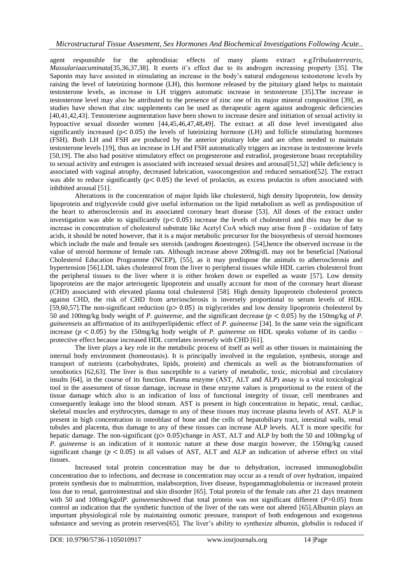agent responsible for the aphrodisiac effects of many plants extract e.g*Tribulusterrestris*, *Massulariaacuminata*[35,36,37,38]. It exerts it's effect due to its androgen increasing property [35]. The Saponin may have assisted in stimulating an increase in the body's natural endogenous testosterone levels by raising the level of luteinizing hormone (LH), this hormone released by the pituitary gland helps to maintain testosterone levels, as increase in LH triggers automatic increase in testosterone [35].The increase in testosterone level may also be attributed to the presence of zinc one of its major mineral composition [39], as studies have shown that zinc supplements can be used as therapeutic agent against androgenic deficiencies [40,41,42,43]. Testosterone augmentation have been shown to increase desire and initiation of sexual activity in hypoactive sexual disorder women [44,45,46,47,48,49]. The extract at all dose level investigated also significantly increased ( $p < 0.05$ ) the levels of luteinizing hormone (LH) and follicle stimulating hormones (FSH). Both LH and FSH are produced by the anterior pituitary lobe and are often needed to maintain testosterone levels [19], thus an increase in LH and FSH automatically triggers an increase in testosterone levels [50,19]. The also had positive stimulatory effect on progesterone and estradiol, progesterone boast receptability to sexual activity and estrogen is associated with increased sexual desires and arousal[51,52] while deficiency is associated with vaginal atrophy, decreased lubrication, vasocongestion and reduced sensation[52]. The extract was able to reduce significantly ( $p < 0.05$ ) the level of prolactin, as excess prolactin is often associated with inhibited arousal [51].

Alterations in the concentration of major lipids like cholesterol, high density lipoprotein, low density lipoprotein and triglyceride could give useful information on the lipid metabolism as well as predisposition of the heart to atherosclerosis and its associated coronary heart disease [53]. All doses of the extract under investigation was able to significantly ( $p < 0.05$ ) increase the levels of cholesterol and this may be due to increase in concentration of cholesterol substrate like Acetyl CoA which may arise from β - oxidation of fatty acids, it should be noted however, that it is a major metabolic precursor for the biosynthesis of steroid hormones which include the male and female sex steroids (androgen &oestrogen). [54],hence the observed increase in the value of steroid hormone of female rats. Although increase above 200mg/dL may not be beneficial [National Cholesterol Education Programme (NCEP), [55], as it may predispose the animals to atherosclerosis and hypertension [56].LDL takes cholesterol from the liver to peripheral tissues while HDL carries cholesterol from the peripheral tissues to the liver where it is either broken down or expelled as waste [57]. Low density lipoproteins are the major arteriogenic lipoprotein and usually account for most of the coronary heart disease (CHD) associated with elevated plasma total cholesterol [58]. High density lipoprotein cholesterol protects against CHD, the risk of CHD from arteriosclerosis is inversely proportional to serum levels of HDL [59,60,57]. The non-significant reduction ( $p > 0.05$ ) in triglycerides and low density lipoprotein cholesterol by 50 and 100mg/kg body weight of *P. guineense*, and the significant decrease ( $p < 0.05$ ) by the 150mg/kg of *P*. *guineense*is an affirmation of its antihyperlipidemic effect of *P. guineense* [34]. In the same vein the significant increase  $(p < 0.05)$  by the 150mg/kg body weight of *P. guineense* on HDL speaks volume of its cardio – protective effect because increased HDL correlates inversely with CHD [61].

The liver plays a key role in the metabolic process of itself as well as other tissues in maintaining the internal body environment (homeostasis). It is principally involved in the regulation, synthesis, storage and transport of nutrients (carbohydrates, lipids, protein) and chemicals as well as the biotransformation of xenobiotics [62,63]. The liver is thus susceptible to a variety of metabolic, toxic, microbial and circulatory insults [64], in the course of its function. Plasma enzyme (AST, ALT and ALP) assay is a vital toxicological tool in the assessment of tissue damage, increase in these enzyme values is proportional to the extent of the tissue damage which also is an indication of loss of functional integrity of tissue, cell membranes and consequently leakage into the blood stream. AST is present in high concentration in hepatic, renal, cardiac, skeletal muscles and erythrocytes, damage to any of these tissues may increase plasma levels of AST. ALP is present in high concentration in osteoblast of bone and the cells of hepatobiliary tract, intestinal walls, renal tubules and placenta, thus damage to any of these tissues can increase ALP levels. ALT is more specific for hepatic damage. The non-significant (p> 0.05)change in AST, ALT and ALP by both the 50 and 100mg/kg of *P. guineense* is an indication of it nontoxic nature at these dose margin however, the 150mg/kg caused significant change ( $p < 0.05$ ) in all values of AST, ALT and ALP an indication of adverse effect on vital tissues.

Increased total protein concentration may be due to dehydration, increased immunoglobulin concentration due to infections, and decrease in concentration may occur as a result of over hydration, impaired protein synthesis due to malnutrition, malabsorption, liver disease, hypogammaglobulemia or increased protein loss due to renal, gastrointestinal and skin disorder [65]. Total protein of the female rats after 21 days treatment with 50 and 100mg/kgof*P. guineense*showed that total protein was not significant different (*P*>0.05) from control an indication that the synthetic function of the liver of the rats were not altered [65].Albumin plays an important physiological role by maintaining osmotic pressure, transport of both endogenous and exogenous substance and serving as protein reserves[65]. The liver's ability to synthesize albumin, globulin is reduced if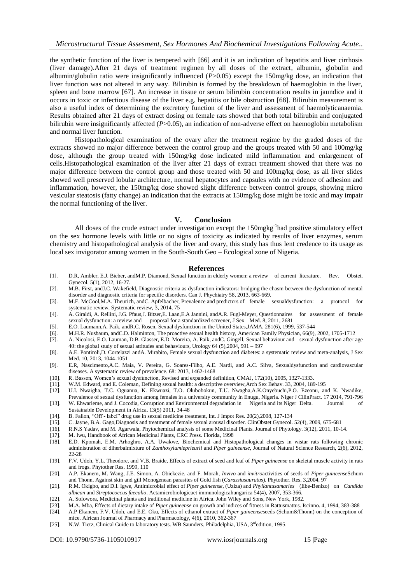the synthetic function of the liver is tempered with [66] and it is an indication of hepatitis and liver cirrhosis (liver damage).After 21 days of treatment regimen by all doses of the extract, albumin, globulin and albumin/globulin ratio were insignificantly influenced (*P*>0.05) except the 150mg/kg dose, an indication that liver function was not altered in any way. Bilirubin is formed by the breakdown of haemoglobin in the liver, spleen and bone marrow [67]. An increase in tissue or serum bilirubin concentration results in jaundice and it occurs in toxic or infectious disease of the liver e.g. hepatitis or bile obstruction [68]. Bilirubin measurement is also a useful index of determining the excretory function of the liver and assessment of haemolyticanaemia. Results obtained after 21 days of extract dosing on female rats showed that both total bilirubin and conjugated bilirubin were insignificantly affected (*P*>0.05), an indication of non-adverse effect on haemoglobin metabolism and normal liver function.

Histopathological examination of the ovary after the treatment regime by the graded doses of the extracts showed no major difference between the control group and the groups treated with 50 and 100mg/kg dose, although the group treated with 150mg/kg dose indicated mild inflammation and enlargement of cells.Histopathological examination of the liver after 21 days of extract treatment showed that there was no major difference between the control group and those treated with 50 and 100mg/kg dose, as all liver slides showed well preserved lobular architecture, normal hepatocytes and capsules with no evidence of adhesion and inflammation, however, the 150mg/kg dose showed slight difference between control groups, showing micro vesicular steatosis (fatty change) an indication that the extracts at 150mg/kg dose might be toxic and may impair the normal functioning of the liver.

#### **V. Conclusion**

All doses of the crude extract under investigation except the 150mgkg<sup>-1</sup>had positive stimulatory effect on the sex hormone levels with little or no signs of toxicity as indicated by results of liver enzymes, serum chemistry and histopathological analysis of the liver and ovary, this study has thus lent credence to its usage as local sex invigorator among women in the South-South Geo – Ecological zone of Nigeria.

#### **References**

- [1]. D.R, Ambler, E.J. Bieber, andM.P. Diamond, Sexual function in elderly women: a review of current literature. Rev. Obstet. Gynecol. 5(1), 2012, 16-27.
- [2]. M.B. First, andJ.C. Wakefield, Diagnostic criteria as dysfunction indicators: bridging the chasm between the dysfunction of mental disorder and diagnostic criteria for specific disorders. Can J. Phychiatry 58, 2013, 663-669.
- [3]. M.E. McCool,M.A. Theurich, andC. Apfelbacher, Prevalence and predictors of female sexualdysfunction: a protocol for systematic review, Systematic review, 3, 2014, 75
- [4]. A. Giraldi, A. Rellini, J.G. Pfaus,J. Bitzer,E. Laan,E.A Jannini, andA.R. Fugl-Meyer, Questionnaires for assessment of female sexual dysfunction: a review and proposal for a standardized screener, J Sex Med. 8, 2011, 2681
- [5]. E.O. Laumann,A. Paik, andR.C. Rosen, Sexual dysfunction in the United States,JAMA. 281(6), 1999, 537-544
- [6]. M.H.R. Nusbaum, andC.D. Halminton, The proactive sexual health history, American Family Physician, 66(9), 2002, 1705-1712
- [7]. A. Nicolosi, E.O. Lauman, D.B. Glasser, E.D. Moreira, A. Paik, andC. Gingell, Sexual behaviour and sexual dysfunction after age 40: the global study of sexual attitudes and behaviours, Urology 64 (5),2004, 991 – 997
- [8]. A.E. Pontiroli,D. Cortelazzi andA. Mirabito, Female sexual dysfunction and diabetes: a systematic review and meta-analysis, J Sex Med. 10, 2013, 1044-1051
- [9]. E.R, Nascimento,A.C. Maia, V. Pereira, G. Soares-Filho, A.E. Nardi, and A.C. Silva, Sexualdysfunction and cardiovascular diseases. A systematic review of prevalence. 68: 2013, 1462-1468
- [10]. R. Basson, Women's sexual dysfunction, Revised and expanded definition, CMAJ, 172(10), 2005, 1327-1333.
- 
- [11]. W.M. Edward, and E. Coleman, Defining sexual health: a descriptive overview,Arch Sex Behav. 33, 2004, 189-195 [12]. U.I. Nwaigha, T.C. Oguanua, K. Ekwuazi, T.O. Olubobokun, T.U. Nwagha,A.K.Onyebuchi,P.O. Ezeonu, and K. Nwadike, Prevalence of sexual dysfunction among females in a university community in Enugu, Nigeria. Niger J CllinPract. 17 2014, 791-796
- [13]. W. Ehwarieme, and J. Cocodia, Corruption and Environmental degradation in Nigeria and its Niger Delta. Journal of Sustainable Development in Africa. 13(5) 2011, 34-48
- [14]. B. Fallon, "Off label" drug use in sexual medicine treatment, Int. J Impot Res. 20(2),2008, 127-134
- [15]. C. Jayne, B.A. Gago,Diagnosis and treatment of female sexual arousal disorder. ClinObstet Gynecol. 52(4), 2009, 675-681
- [16]. R.N.S Yadav, and M. Agarwala, Phytochemical analysis of some Medicinal Plants. Journal of Phytology. 3(12), 2011, 10-14.
- [17]. M. Iwu, Handbook of African Medicinal Plants, CRC Press. Florida, 1998
- [18]. E.D. Kpomah, E.M. Arhoghro, A.A. Uwakwe, Biochemical and Histopathological changes in wistar rats following chronic administration of diherbalmixture of *Zanthoxylumleprieurii* and *Piper guineense*, Journal of Natural Science Research, 2(6), 2012, 22-28
- [19]. F.V. Udoh, Y.L. Theodore, and V.B. Braide, Effects of extract of seed and leaf of *Piper guineense* on skeletal muscle activity in rats and frogs. Phytother Res. 1999, 110
- [20]. A.P. Ekanem, M. Wang, J.E. Simon, A. Obiekezie, and F. Morah, *Invivo* and *invitro*activities of seeds of *Piper guineense*Schum and Thonn. Against skin and gill Monogenean parasites of Gold fish (*Carassiusauratus*). Phytother. Res. 3,2004, 97
- [21]. R.M. Okigbo, and D.I. Igwe, Antimicrobial effect of *Piper guineense*, (Uziza) and *Phyllantusamaries* (Ebe-Benizo) on *Candida albican* and *Streptococcus faecalio*. Actamicrobiologicaet immunologicahungarica 54(4), 2007, 353-366.
- [22]. A. Sofowora, Medicinal plants and traditional medicine in Africa. John Wiley and Sons, New York, 1982.
- [23]. M.A. Mba, Effects of dietary intake of *Piper guineense* on growth and indices of fitness in Rattusmattus. Iscinno. 4, 1994, 383-388
- [24]. A.P Ekanem, F.V. Udoh, and E.E. Oku, Effects of ethanol extract of *Piper guineense*seeds (Schum&Thonn) on the conception of mice. African Journal of Pharmacy and Pharmacology, 4(6), 2010, 362-367
- [25]. N.W. Tietz, Clinical Guide to laboratory tests. WB Saunders, Philadelphia, USA, 3<sup>rd</sup>edition, 1995.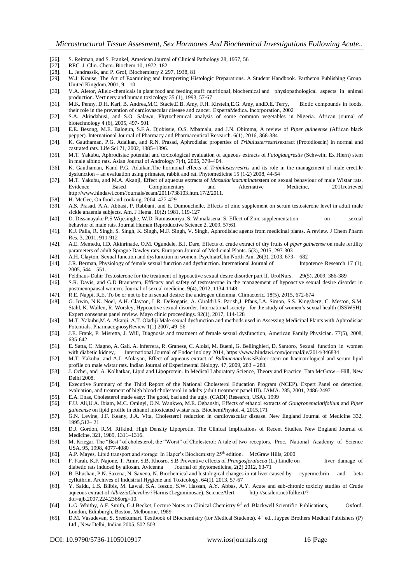- [26]. S. Reitman, and S. Frankel, American Journal of Clinical Pathology 28, 1957, 56
- [27]. REC. J. Clin. Chem. Biochem 10, 1972, 182 [28]. L. Jendrassik, and P. Grof, Biochemistry  $Z$  2
- L. Jendrassik, and P. Grof, Biochemistry Z 297, 1938, 81
- [29]. W.J. Krause, The Art of Examining and Interpreting Histologic Preparations. A Student Handbook. Partheton Publishing Group. United Kingdom,2001, 9 – 10
- [30]. V.A. Aletor, Allelo-chemicals in plant food and feeding stuff: nutritional, biochemical and physiopathological aspects in animal production. Vertinery and human toxicology 35 (1), 1993, 57-67
- [31]. M.K. Penny, D.H. Kari, B. Andrea,M.C. Stacie,E.B. Amy, F.H. Kirstein,E.G. Amy, andD.E. Terry, Biotic compounds in foods, their role in the prevention of cardiovascular disease and cancer. ExpertaMedica. Incorporation, 2002
- [32]. S.A. Akindahusi, and S.O. Salawu, Phytochemical analysis of some common vegetables in Nigeria. African journal of biotechnology 4 (6), 2005, 497- 501
- [33]. E.E. Besong, M.E. Balogun, S.F.A. Djobissie, O.S. Mbamalu, and J.N. Obimma, A review of *Piper guineense* (African black pepper). International Journal of Pharmacy and Pharmaceutical Research. 6(1), 2016, 368-384
- [34]. K. Gauthaman, P.G. Adaikan, and R.N. Prasad, Aphrodisiac properties of *Tribulusterrestris*extract (Protodioscin) in normal and castrated rats. Life Sci 71, 2002, 1385–1396.
- [35]. M.T. Yakubu, Aphrodisiac potential and toxicological evaluation of aqueous extracts of *Fatogiaagrestis* (Schweinf Ex Hiern) stem in male albino rats. Asian Journal of Andrology 7(4), 2005, 379–404.
- [36]. K. Gauthaman, Kand P.G. Adaikan.The hormonal effects of *Tribulusterrestris* and its role in the management of male erectile dysfunction – an evaluation using primates, rabbit and rat. Phytomedicine 15 (1-2) 2008, 44-54
- [37]. M.T. Yakubu, and M.A. Akanji, Effect of aqueous extracts of *Massulariaacuminate*stem on sexual behaviour of male Wistar rats. Evidence Based Complementary [http://www.hindawi.com/Journals/ecam/2011/738103.htm.17/2/2011.](http://www.hindawi.com/Journals/ecam/2011/738103.htm.17/2/2011)
- [38]. H. McGee, On food and cooking, 2004, 427-429
- [39]. A.S. Prasad, A.A. Abbasi, P. Rabbani, and E. Dumouchelle, Effects of zinc supplement on serum testosterone level in adult male sickle anaemia subjects. Am. J Hema. 10(2) 1981, 119-127
- [40]. D. Dissanayake P.S Wijesinghe, W.D. Ratnasooriya, S. Wimalasena, S. Effect of Zinc supplementation on sexual behavior of male rats. Journal Human Reproductive Science 2, 2009, 57:61
- [41]. K.J. Palla, R. Singh, S. Singh, K. Singh, M.F. Singh, V. Singh, Aphrodisiac agents from medicinal plants. A review. J Chem Pharm Res. 3, 2011, 911-912
- [42]. A.E. Memedu, I.D. Akinrinade, O.M. Ogundele, B.J. Dare, Effects of crude extract of dry fruits of *piper guineense* on male fertility parameters of adult Sprague Dawley rats. European Journal of Medicinal Plants. 5(3), 2015, 297-303
- [43]. A.H. Clayton, Sexual function and dysfunction in women. PsychiatrClin North Am. 26(3), 2003, 673- 682
- [44]. J.R. Berman, Physiology of female sexual function and dysfunction. International Journal of Impotence Research 17 (1), 2005, 544 – 551.
- [45]. Feldhaus-Dahir Testosterone for the treatment of hypoactive sexual desire disorder part II. UrolNurs. 29(5), 2009, 386-389<br>[46]. S.R. Davis, and G.D Braunsten, Efficacy and safety of testosterone in the management of
- [46]. S.R. Davis, and G.D Braunsten, Efficacy and safety of testosterone in the management of hypoactive sexual desire disorder in postmenopausal women. Journal of sexual medicine. 9(4), 2012, 1134-1148
- [47]. R.E. Nappi, R.E. To be or not to be in sexual desire: the androgen dilemma. Climacteric. 18(5), 2015, 672-674
- [48]. G. Irwin, N.K. Noel, A.H. Clayton, L.R. DeRogatis, A. GiraldiJ.S. Parish,J. Pfaus,J.A. Simon, S.S. Kingsberg, C. Meston, S.M. Stahl, K. Wallen, R. Worsley, Hypoactive sexual disorder. International society for the study of women's sexual health (ISSWSH). Expert consensus panel review. Mayo clinic proceedings. 92(1), 2017, 114-128
- [49]. M.T. Yakubu,M.A. Akanji, A.T. Oladiji Male sexual dysfunction and methods used in Assessing Medicinal Plants with Aphrodisiac Potentials. PharmacognosyReview 1(1) 2007, 49–56
- [50]. J.E. Frank, P. Misretta, J. Will, Diagnosis and treatment of female sexual dysfunction, American Family Physician. 77(5), 2008, 635-642
- [51]. E. Satta, C. Magno, A. Gali. A. Inferrera, R. Granese, C. Aloisi, M. Bueni, G. Bellinghieri, D. Santoro, Sexual function in women with diabetic kidney, International Journal of Endocrinology 2014[, https://www.hindawi.com/journal/ije/2014/346834](https://www.hindawi.com/journal/ije/2014/346834)
- [52]. M.T. Yakubu, and A.J. Afolayan, Effect of aqueous extract of *Bulbinenatalensis*Baker stem on haematological and serum lipid profile on male wistar rats. Indian Journal of Experimental Biology. 47, 2009, 283 – 288.
- [53]. J. Ochei, and A. Kolhatkar, Lipid and Lipoprotein. In Medical Laboratory Science, Theory and Practice. Tata McGraw Hill, New Delhi 2008.
- [54]. Executive Summary of the Third Report of the National Cholesterol Education Program (NCEP). Expert Panel on detection, evaluation, and treatment of high blood cholesterol in adults (adult treatment panel III). JAMA. 285, 2001, 2486-2497
- [55]. E.A. Enas, Cholesterol made easy: The good, bad and the ugly. (CADI) Research, USA). 1999
- [56]. F.U. Ali,U.A. Ibiam, M.C. Ominyi, O.N. Wankwo, M.E. Ogbanshi, Effects of ethanol extracts of *Gongronemalatifolium* and *Piper guineense* on lipid profile in ethanol intoxicated wistar rats. BiochemPhysiol. 4, 2015,171
- [57]. G.N. Levine, J.F. Keany, J.A. Vita, Cholesterol reduction in cardiovascular disease. New England Journal of Medicine 332, 1995,512– 21
- [58]. D.J. Gordon, R.M. Rifkind, High Density Lipoprotin. The Clinical Implications of Recent Studies. New England Journal of Medicine, 321, 1989, 1311–1316.
- [59]. M. Kriegar, The "Best" of cholesterol, the "Worst" of Cholesterol: A tale of two receptors. Proc. National Academy of Science USA. 95, 1998, 4077-4080
- [60]. A.P. Mayes, Lipid transport and storage: In Haper's Biochemistry 25<sup>th</sup> edition. McGraw Hills, 2000
- [61]. F. Farah, K.F. Najone, T. Amir, S.B. Khosro, S.B Preventive effects of *Prangosferulacea* (L.) Lindle on liver damage of diabetic rats induced by alloxan. Avicenna Journal of phytomedicine, 2(2) 2012, 63-71
- [62]. B. Bhushan, P.N. Saxena, N. Saxena, N. Biochemical and histological changes in rat liver caused by cypermethrin and beta cyfluthrin. Archives of Industrial Hygiene and Toxicology, 64(1), 2013, 57-67
- [63]. Y. Saidu, L.S. Bilbis, M. Lawal, S.A. Isezuo, S.W. Hassan, A.Y. Abbas, A.Y. Acute and sub-chronic toxicity studies of Crude aqueous extract of *AlbizziaChevalieri* Harms (Leguminosae). ScienceAlert. http://scialert.net/fulltext/? doi=ajb.2007.224.236\$org=10.
- [64]. L.G. Whitby, A.F. Smith, G.J.Becket, Lecture Notes on Clinical Chemistry 9<sup>th</sup> ed. Blackwell Scientific Publications, Oxford. London, Edinburgh, Boston, Melbourne, 1989
- [65]. D.M. Vasudevan, S. Sreekumari. Textbook of Biochemistry (for Medical Students). 4<sup>th</sup> ed., Jaypee Brothers Medical Publishers (P) Ltd., New Delhi, Indian 2005, 502-503